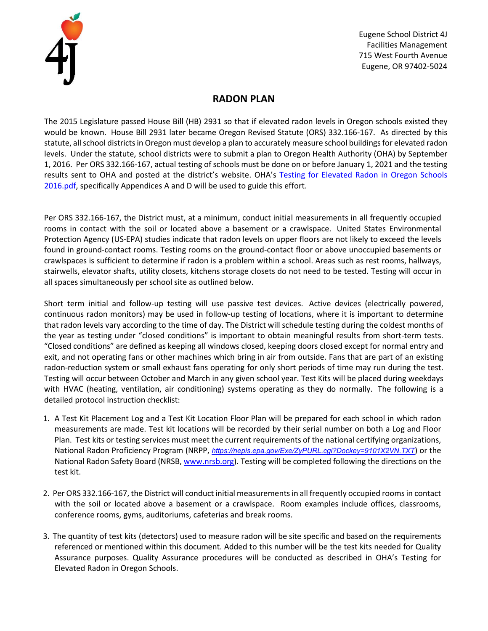

## **RADON PLAN**

The 2015 Legislature passed House Bill (HB) 2931 so that if elevated radon levels in Oregon schools existed they would be known. House Bill 2931 later became Oregon Revised Statute (ORS) 332.166-167. As directed by this statute, all school districts in Oregon must develop a plan to accurately measure school buildings for elevated radon levels. Under the statute, school districts were to submit a plan to Oregon Health Authority (OHA) by September 1, 2016. Per ORS 332.166-167, actual testing of schools must be done on or before January 1, 2021 and the testing results sent to OHA and posted at the district's website. OHA's Testing for [Elevated](https://public.health.oregon.gov/HealthyEnvironments/HealthyNeighborhoods/RadonGas/Documents/ORv1FINAL-pubs_Testing%20for%20Elevated%20Radon%20in%20Oregon%20Schools%202016.pdf) Radon in Oregon Schools [2016.pdf](https://public.health.oregon.gov/HealthyEnvironments/HealthyNeighborhoods/RadonGas/Documents/ORv1FINAL-pubs_Testing%20for%20Elevated%20Radon%20in%20Oregon%20Schools%202016.pdf), specifically Appendices A and D will be used to guide this effort.

Per ORS 332.166-167, the District must, at a minimum, conduct initial measurements in all frequently occupied rooms in contact with the soil or located above a basement or a crawlspace. United States Environmental Protection Agency (US-EPA) studies indicate that radon levels on upper floors are not likely to exceed the levels found in ground-contact rooms. Testing rooms on the ground-contact floor or above unoccupied basements or crawlspaces is sufficient to determine if radon is a problem within a school. Areas such as rest rooms, hallways, stairwells, elevator shafts, utility closets, kitchens storage closets do not need to be tested. Testing will occur in all spaces simultaneously per school site as outlined below.

Short term initial and follow-up testing will use passive test devices. Active devices (electrically powered, continuous radon monitors) may be used in follow-up testing of locations, where it is important to determine that radon levels vary according to the time of day. The District will schedule testing during the coldest months of the year as testing under "closed conditions" is important to obtain meaningful results from short-term tests. "Closed conditions" are defined as keeping all windows closed, keeping doors closed except for normal entry and exit, and not operating fans or other machines which bring in air from outside. Fans that are part of an existing radon-reduction system or small exhaust fans operating for only short periods of time may run during the test. Testing will occur between October and March in any given school year. Test Kits will be placed during weekdays with HVAC (heating, ventilation, air conditioning) systems operating as they do normally. The following is a detailed protocol instruction checklist:

- 1. A Test Kit Placement Log and a Test Kit Location Floor Plan will be prepared for each school in which radon measurements are made. Test kit locations will be recorded by their serial number on both a Log and Floor Plan. Test kits or testing services must meet the current requirements of the national certifying organizations, National Radon Proficiency Program (NRPP, *<https://nepis.epa.gov/Exe/ZyPURL.cgi?Dockey=9101X2VN.TXT>*) or the National Radon Safety Board (NRSB, w[ww.nrsb.org\).](http://www.nrsb.org/) [Te](http://www.nrsb.org/)sting will be completed following the directions on the test kit.
- 2. Per ORS 332.166-167, the District will conduct initial measurementsin all frequently occupied roomsin contact with the soil or located above a basement or a crawlspace. Room examples include offices, classrooms, conference rooms, gyms, auditoriums, cafeterias and break rooms.
- 3. The quantity of test kits (detectors) used to measure radon will be site specific and based on the requirements referenced or mentioned within this document. Added to this number will be the test kits needed for Quality Assurance purposes. Quality Assurance procedures will be conducted as described in OHA's [Testing](https://public.health.oregon.gov/HealthyEnvironments/HealthyNeighborhoods/RadonGas/Documents/ORv1FINAL-pubs_Testing%20for%20Elevated%20Radon%20in%20Oregon%20Schools%202016.pdf) for [Elevated](https://public.health.oregon.gov/HealthyEnvironments/HealthyNeighborhoods/RadonGas/Documents/ORv1FINAL-pubs_Testing%20for%20Elevated%20Radon%20in%20Oregon%20Schools%202016.pdf) Radon in Oregon Schools.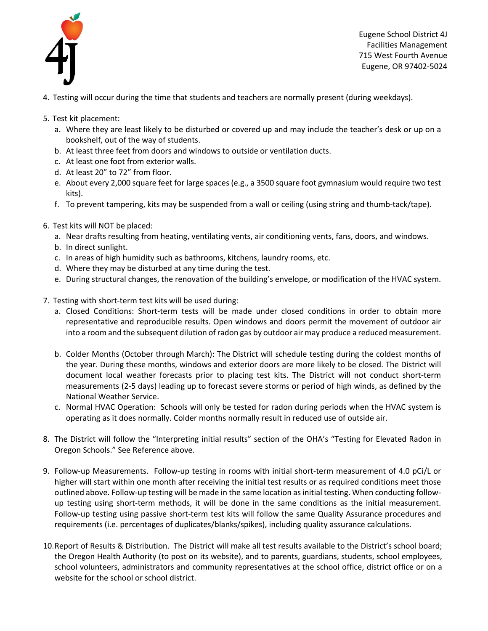

- 4. Testing will occur during the time that students and teachers are normally present (during weekdays).
- 5. Test kit placement:
	- a. Where they are least likely to be disturbed or covered up and may include the teacher's desk or up on a bookshelf, out of the way of students.
	- b. At least three feet from doors and windows to outside or ventilation ducts.
	- c. At least one foot from exterior walls.
	- d. At least 20" to 72" from floor.
	- e. About every 2,000 square feet for large spaces (e.g., a 3500 square foot gymnasium would require two test kits).
	- f. To prevent tampering, kits may be suspended from a wall or ceiling (using string and thumb-tack/tape).
- 6. Test kits will NOT be placed:
	- a. Near drafts resulting from heating, ventilating vents, air conditioning vents, fans, doors, and windows.
	- b. In direct sunlight.
	- c. In areas of high humidity such as bathrooms, kitchens, laundry rooms, etc.
	- d. Where they may be disturbed at any time during the test.
	- e. During structural changes, the renovation of the building's envelope, or modification of the HVAC system.
- 7. Testing with short-term test kits will be used during:
	- a. Closed Conditions: Short-term tests will be made under closed conditions in order to obtain more representative and reproducible results. Open windows and doors permit the movement of outdoor air into a room and the subsequent dilution ofradon gas by outdoor air may produce a reduced measurement.
	- b. Colder Months (October through March): The District will schedule testing during the coldest months of the year. During these months, windows and exterior doors are more likely to be closed. The District will document local weather forecasts prior to placing test kits. The District will not conduct short-term measurements (2-5 days) leading up to forecast severe storms or period of high winds, as defined by the National Weather Service.
	- c. Normal HVAC Operation: Schools will only be tested for radon during periods when the HVAC system is operating as it does normally. Colder months normally result in reduced use of outside air.
- 8. The District will follow the "Interpreting initial results" section of the OHA's "Testing for Elevated Radon in Oregon Schools." See Reference above.
- 9. Follow-up Measurements. Follow-up testing in rooms with initial short-term measurement of 4.0 pCi/L or higher will start within one month after receiving the initial test results or as required conditions meet those outlined above. Follow-up testing will be made in the same location asinitial testing. When conducting followup testing using short-term methods, it will be done in the same conditions as the initial measurement. Follow-up testing using passive short-term test kits will follow the same Quality Assurance procedures and requirements (i.e. percentages of duplicates/blanks/spikes), including quality assurance calculations.
- 10.Report of Results & Distribution. The District will make all test results available to the District's school board; the Oregon Health Authority (to post on its website), and to parents, guardians, students, school employees, school volunteers, administrators and community representatives at the school office, district office or on a website for the school or school district.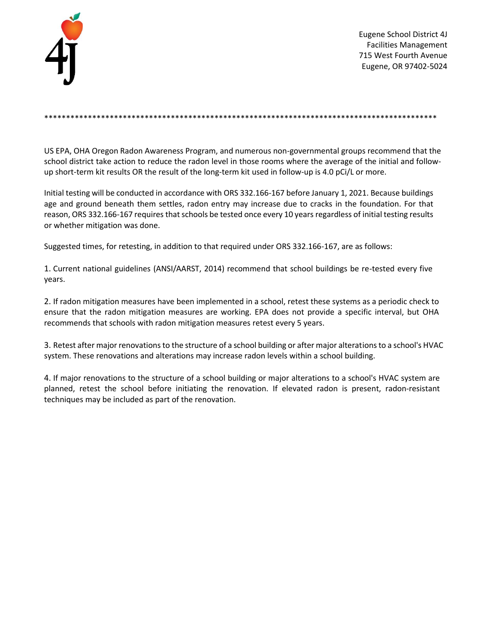

\*\*\*\*\*\*\*\*\*\*\*\*\*\*\*\*\*\*\*\*\*\*\*\*\*\*\*\*\*\*\*\*\*\*\*\*\*\*\*\*\*\*\*\*\*\*\*\*\*\*\*\*\*\*\*\*\*\*\*\*\*\*\*\*\*\*\*\*\*\*\*\*\*\*\*\*\*\*\*\*\*\*\*\*\*\*\*\*\*\*

US EPA, OHA Oregon Radon Awareness Program, and numerous non-governmental groups recommend that the school district take action to reduce the radon level in those rooms where the average of the initial and followup short-term kit results OR the result of the long-term kit used in follow-up is 4.0 pCi/L or more.

Initial testing will be conducted in accordance with ORS 332.166-167 before January 1, 2021. Because buildings age and ground beneath them settles, radon entry may increase due to cracks in the foundation. For that reason, ORS 332.166-167 requires that schools be tested once every 10 years regardless of initial testing results or whether mitigation was done.

Suggested times, for retesting, in addition to that required under ORS 332.166-167, are as follows:

1. Current national guidelines (ANSI/AARST, 2014) recommend that school buildings be re-tested every five years.

2. If radon mitigation measures have been implemented in a school, retest these systems as a periodic check to ensure that the radon mitigation measures are working. EPA does not provide a specific interval, but OHA recommends that schools with radon mitigation measures retest every 5 years.

3. Retest after major renovationsto the structure of a school building or after major alterationsto a school's HVAC system. These renovations and alterations may increase radon levels within a school building.

4. If major renovations to the structure of a school building or major alterations to a school's HVAC system are planned, retest the school before initiating the renovation. If elevated radon is present, radon-resistant techniques may be included as part of the renovation.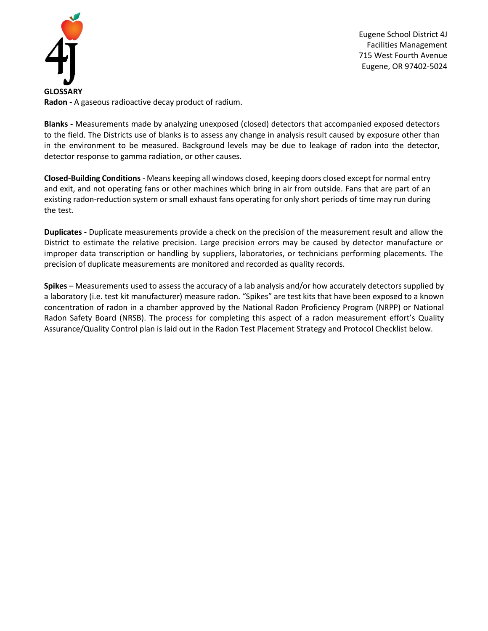

**Radon -** A gaseous radioactive decay product of radium.

**Blanks -** Measurements made by analyzing unexposed (closed) detectors that accompanied exposed detectors to the field. The Districts use of blanks is to assess any change in analysis result caused by exposure other than in the environment to be measured. Background levels may be due to leakage of radon into the detector, detector response to gamma radiation, or other causes.

**Closed-Building Conditions** - Means keeping all windows closed, keeping doors closed except for normal entry and exit, and not operating fans or other machines which bring in air from outside. Fans that are part of an existing radon-reduction system or small exhaust fans operating for only short periods of time may run during the test.

**Duplicates -** Duplicate measurements provide a check on the precision of the measurement result and allow the District to estimate the relative precision. Large precision errors may be caused by detector manufacture or improper data transcription or handling by suppliers, laboratories, or technicians performing placements. The precision of duplicate measurements are monitored and recorded as quality records.

**Spikes** – Measurements used to assess the accuracy of a lab analysis and/or how accurately detectors supplied by a laboratory (i.e. test kit manufacturer) measure radon. "Spikes" are test kits that have been exposed to a known concentration of radon in a chamber approved by the National Radon Proficiency Program (NRPP) or National Radon Safety Board (NRSB). The process for completing this aspect of a radon measurement effort's Quality Assurance/Quality Control plan is laid out in the Radon Test Placement Strategy and Protocol Checklist below.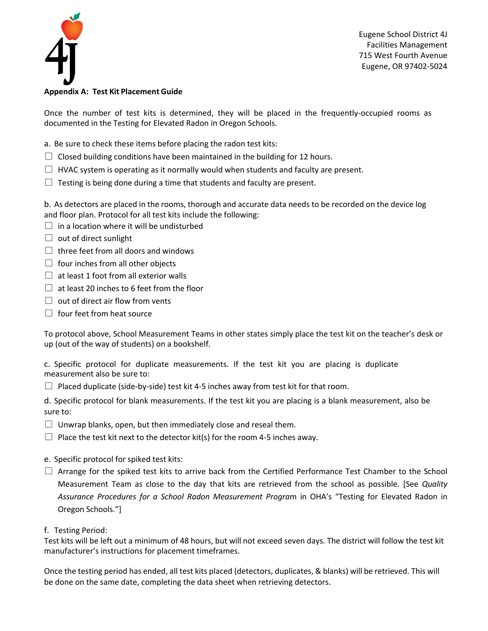

## **Appendix A: Test Kit Placement Guide**

Once the number of test kits is determined, they will be placed in the frequently-occupied rooms as documented in the Testing for Elevated Radon in Oregon Schools.

- a. Be sure to check these items before placing the radon test kits:
- $\Box$  Closed building conditions have been maintained in the building for 12 hours.
- $\Box$  HVAC system is operating as it normally would when students and faculty are present.
- $\Box$  Testing is being done during a time that students and faculty are present.

b. As detectors are placed in the rooms, thorough and accurate data needs to be recorded on the device log and floor plan. Protocol for all test kits include the following:

- $\Box$  in a location where it will be undisturbed
- $\Box$  out of direct sunlight
- $\Box$  three feet from all doors and windows
- $\Box$  four inches from all other objects
- $\Box$  at least 1 foot from all exterior walls
- $\Box$  at least 20 inches to 6 feet from the floor
- $\Box$  out of direct air flow from vents
- $\Box$  four feet from heat source

To protocol above, School Measurement Teams in other states simply place the test kit on the teacher's desk or up (out of the way of students) on a bookshelf.

c. Specific protocol for duplicate measurements. If the test kit you are placing is duplicate measurement also be sure to:

 $\Box$  Placed duplicate (side-by-side) test kit 4-5 inches away from test kit for that room.

d. Specific protocol for blank measurements. If the test kit you are placing is a blank measurement, also be sure to:

- $\Box$  Unwrap blanks, open, but then immediately close and reseal them.
- $\Box$  Place the test kit next to the detector kit(s) for the room 4-5 inches away.
- e. Specific protocol for spiked test kits:
- $\Box$  Arrange for the spiked test kits to arrive back from the Certified Performance Test Chamber to the School Measurement Team as close to the day that kits are retrieved from the school as possible. [See *Quality Assurance Procedures for a School Radon Measurement Progra*m in OHA's "Testing for Elevated Radon in Oregon Schools."]
- f. Testing Period:

Test kits will be left out a minimum of 48 hours, but will not exceed seven days. The district will follow the test kit manufacturer's instructions for placement timeframes.

Once the testing period has ended, all test kits placed (detectors, duplicates, & blanks) will be retrieved. This will be done on the same date, completing the data sheet when retrieving detectors.